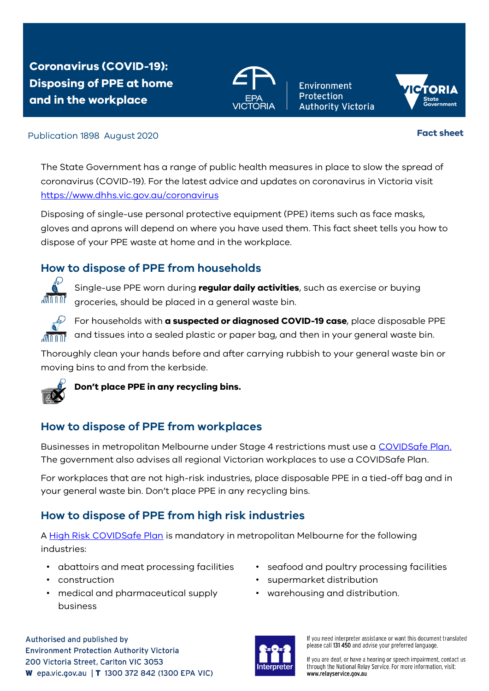**Coronavirus (COVID-19): Disposing of PPE at home and in the workplace** 



**Environment Protection Authority Victoria** 



#### Publication 1898 August 2020 **Fact sheet**

The State Government has a range of public health measures in place to slow the spread of coronavirus (COVID-19). For the latest advice and updates on coronavirus in Victoria visit <https://www.dhhs.vic.gov.au/coronavirus>

Disposing of single-use personal protective equipment (PPE) items such as face masks, gloves and aprons will depend on where you have used them. This fact sheet tells you how to dispose of your PPE waste at home and in the workplace.

## **How to dispose of PPE from households**



Single-use PPE worn during **regular daily activities**, such as exercise or buying groceries, should be placed in a general waste bin.



For households with **a suspected or diagnosed COVID-19 case**, place disposable PPE and tissues into a sealed plastic or paper bag, and then in your general waste bin.

Thoroughly clean your hands before and after carrying rubbish to your general waste bin or moving bins to and from the kerbside.



**Don't place PPE in any recycling bins.**

# **How to dispose of PPE from workplaces**

Businesses in metropolitan Melbourne under Stage 4 restrictions must use a [COVIDSafe Plan.](https://www.business.vic.gov.au/disputes-disasters-and-succession-planning/covid-safe-business/covid-safe-plan) The government also advises all regional Victorian workplaces to use a COVIDSafe Plan.

For workplaces that are not high-risk industries, place disposable PPE in a tied-off bag and in your general waste bin. Don't place PPE in any recycling bins.

## **How to dispose of PPE from high risk industries**

[A High Risk COVIDSafe Plan](https://www.business.vic.gov.au/disputes-disasters-and-succession-planning/covid-safe-business/high-risk-covid-safe-plan) is mandatory in metropolitan Melbourne for the following industries:

- abattoirs and meat processing facilities
- construction
- medical and pharmaceutical supply business
- seafood and poultry processing facilities
- supermarket distribution
- warehousing and distribution.





If you need interpreter assistance or want this document translated please call 131 450 and advise your preferred language.

If you are deaf, or have a hearing or speech impairment, contact us through the National Relay Service. For more information, visit: www.relavservice.gov.au